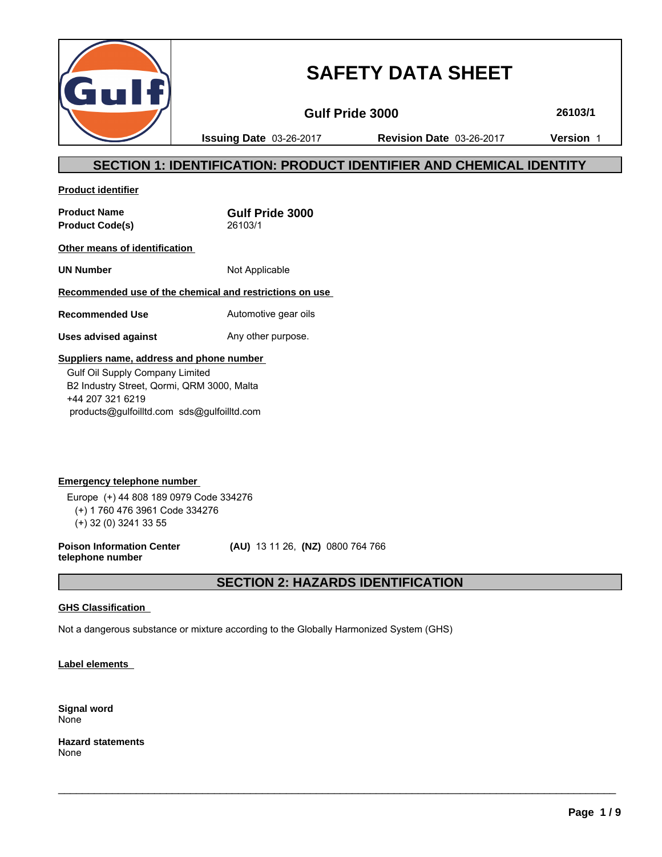

# **SAFETY DATA SHEET**

**Gulf Pride 3000 26103/1**

**Issuing Date** 03-26-2017 **Revision Date** 03-26-2017 **Version** 1

# **SECTION 1: IDENTIFICATION: PRODUCT IDENTIFIER AND CHEMICAL IDENTITY**

**Product identifier**

**Product Name Gulf Pride 3000 Product Code(s)** 26103/1

**Other means of identification** 

**UN Number** Not Applicable

**Recommended use of the chemical and restrictions on use** 

**Recommended Use** Automotive gear oils

**Uses advised against** Any other purpose.

# **Suppliers name, address and phone number**

 Gulf Oil Supply Company Limited B2 Industry Street, Qormi, QRM 3000, Malta +44 207 321 6219 products@gulfoilltd.com sds@gulfoilltd.com

**Emergency telephone number**  Europe (+) 44 808 189 0979 Code 334276 (+) 1 760 476 3961 Code 334276 (+) 32 (0) 3241 33 55

**Poison Information Center telephone number**

 **(AU)** 13 11 26, **(NZ)** 0800 764 766

# **SECTION 2: HAZARDS IDENTIFICATION**

 $\_$  ,  $\_$  ,  $\_$  ,  $\_$  ,  $\_$  ,  $\_$  ,  $\_$  ,  $\_$  ,  $\_$  ,  $\_$  ,  $\_$  ,  $\_$  ,  $\_$  ,  $\_$  ,  $\_$  ,  $\_$  ,  $\_$  ,  $\_$  ,  $\_$  ,  $\_$  ,  $\_$  ,  $\_$  ,  $\_$  ,  $\_$  ,  $\_$  ,  $\_$  ,  $\_$  ,  $\_$  ,  $\_$  ,  $\_$  ,  $\_$  ,  $\_$  ,  $\_$  ,  $\_$  ,  $\_$  ,  $\_$  ,  $\_$  ,

# **GHS Classification**

Not a dangerous substance or mixture according to the Globally Harmonized System (GHS)

**Label elements** 

**Signal word** None

**Hazard statements** None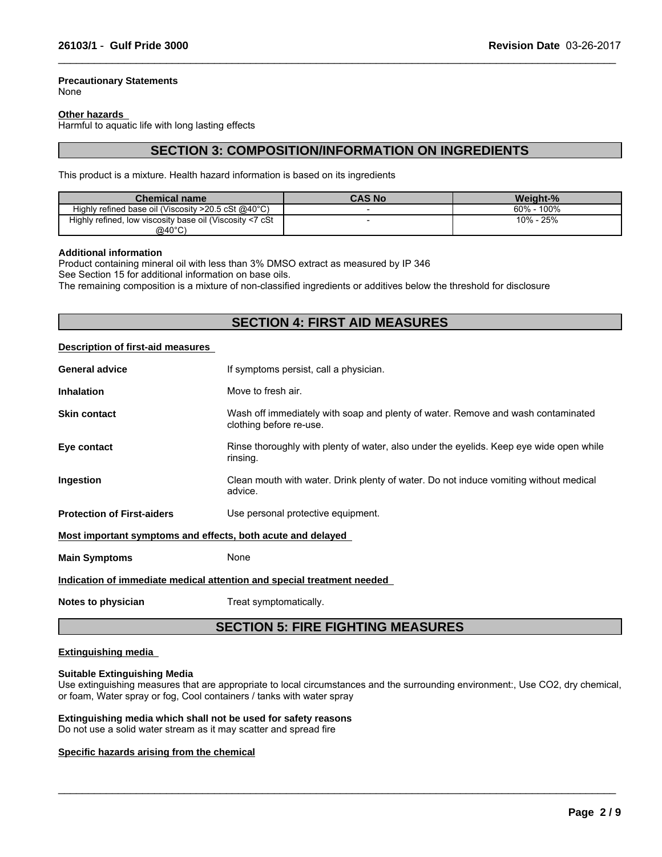#### **Precautionary Statements**

None

#### **Other hazards**

Harmful to aquatic life with long lasting effects

# **SECTION 3: COMPOSITION/INFORMATION ON INGREDIENTS**

 $\_$  ,  $\_$  ,  $\_$  ,  $\_$  ,  $\_$  ,  $\_$  ,  $\_$  ,  $\_$  ,  $\_$  ,  $\_$  ,  $\_$  ,  $\_$  ,  $\_$  ,  $\_$  ,  $\_$  ,  $\_$  ,  $\_$  ,  $\_$  ,  $\_$  ,  $\_$  ,  $\_$  ,  $\_$  ,  $\_$  ,  $\_$  ,  $\_$  ,  $\_$  ,  $\_$  ,  $\_$  ,  $\_$  ,  $\_$  ,  $\_$  ,  $\_$  ,  $\_$  ,  $\_$  ,  $\_$  ,  $\_$  ,  $\_$  ,

This product is a mixture. Health hazard information is based on its ingredients

| Chemical name                                                    | <b>CAS No</b> | Weight-%        |
|------------------------------------------------------------------|---------------|-----------------|
| Highly refined base oil (Viscosity $>20.5$ cSt @40 $^{\circ}$ C) |               | 100%<br>$60% -$ |
| Highly refined, low viscosity base oil (Viscosity <7 cSt         |               | 25%<br>$10% -$  |
| @40°C)                                                           |               |                 |

#### **Additional information**

Product containing mineral oil with less than 3% DMSO extract as measured by IP 346

See Section 15 for additional information on base oils.

The remaining composition is a mixture of non-classified ingredients or additives below the threshold for disclosure

# **SECTION 4: FIRST AID MEASURES**

#### **Description of first-aid measures**

| <b>General advice</b>                                                  | If symptoms persist, call a physician.                                                                      |  |  |
|------------------------------------------------------------------------|-------------------------------------------------------------------------------------------------------------|--|--|
| <b>Inhalation</b>                                                      | Move to fresh air.                                                                                          |  |  |
| <b>Skin contact</b>                                                    | Wash off immediately with soap and plenty of water. Remove and wash contaminated<br>clothing before re-use. |  |  |
| Eye contact                                                            | Rinse thoroughly with plenty of water, also under the eyelids. Keep eye wide open while<br>rinsing.         |  |  |
| <b>Ingestion</b>                                                       | Clean mouth with water. Drink plenty of water. Do not induce vomiting without medical<br>advice.            |  |  |
| <b>Protection of First-aiders</b>                                      | Use personal protective equipment.                                                                          |  |  |
| Most important symptoms and effects, both acute and delayed            |                                                                                                             |  |  |
| <b>Main Symptoms</b>                                                   | None                                                                                                        |  |  |
| Indication of immediate medical attention and special treatment needed |                                                                                                             |  |  |
|                                                                        |                                                                                                             |  |  |

**Notes to physician** Treat symptomatically.

# **SECTION 5: FIRE FIGHTING MEASURES**

#### **Extinguishing media**

#### **Suitable Extinguishing Media**

Use extinguishing measures that are appropriate to local circumstances and the surrounding environment:, Use CO2, dry chemical, or foam, Water spray or fog, Cool containers / tanks with water spray

 $\_$  ,  $\_$  ,  $\_$  ,  $\_$  ,  $\_$  ,  $\_$  ,  $\_$  ,  $\_$  ,  $\_$  ,  $\_$  ,  $\_$  ,  $\_$  ,  $\_$  ,  $\_$  ,  $\_$  ,  $\_$  ,  $\_$  ,  $\_$  ,  $\_$  ,  $\_$  ,  $\_$  ,  $\_$  ,  $\_$  ,  $\_$  ,  $\_$  ,  $\_$  ,  $\_$  ,  $\_$  ,  $\_$  ,  $\_$  ,  $\_$  ,  $\_$  ,  $\_$  ,  $\_$  ,  $\_$  ,  $\_$  ,  $\_$  ,

#### **Extinguishing media which shall not be used for safety reasons**

Do not use a solid water stream as it may scatter and spread fire

#### **Specific hazards arising from the chemical**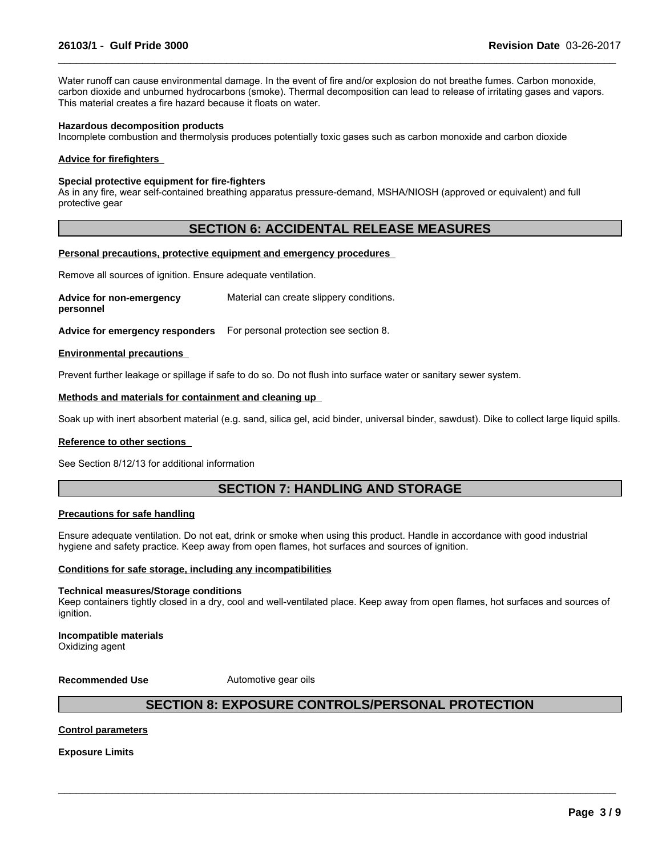Water runoff can cause environmental damage. In the event of fire and/or explosion do not breathe fumes. Carbon monoxide, carbon dioxide and unburned hydrocarbons (smoke). Thermal decomposition can lead to release of irritating gases and vapors. This material creates a fire hazard because it floats on water.

 $\_$  ,  $\_$  ,  $\_$  ,  $\_$  ,  $\_$  ,  $\_$  ,  $\_$  ,  $\_$  ,  $\_$  ,  $\_$  ,  $\_$  ,  $\_$  ,  $\_$  ,  $\_$  ,  $\_$  ,  $\_$  ,  $\_$  ,  $\_$  ,  $\_$  ,  $\_$  ,  $\_$  ,  $\_$  ,  $\_$  ,  $\_$  ,  $\_$  ,  $\_$  ,  $\_$  ,  $\_$  ,  $\_$  ,  $\_$  ,  $\_$  ,  $\_$  ,  $\_$  ,  $\_$  ,  $\_$  ,  $\_$  ,  $\_$  ,

#### **Hazardous decomposition products**

Incomplete combustion and thermolysis produces potentially toxic gases such as carbon monoxide and carbon dioxide

#### **Advice for firefighters**

#### **Special protective equipment for fire-fighters**

As in any fire, wear self-contained breathing apparatus pressure-demand, MSHA/NIOSH (approved or equivalent) and full protective gear

# **SECTION 6: ACCIDENTAL RELEASE MEASURES**

#### **Personal precautions, protective equipment and emergency procedures**

Remove all sources of ignition. Ensure adequate ventilation.

**Advice for non-emergency personnel** Material can create slippery conditions.

**Advice for emergency responders** For personal protection see section 8.

#### **Environmental precautions**

Prevent further leakage or spillage if safe to do so. Do not flush into surface water or sanitary sewer system.

#### **Methods and materials for containment and cleaning up**

Soak up with inert absorbent material (e.g. sand, silica gel, acid binder, universal binder, sawdust). Dike to collect large liquid spills.

#### **Reference to other sections**

See Section 8/12/13 for additional information

# **SECTION 7: HANDLING AND STORAGE**

#### **Precautions for safe handling**

Ensure adequate ventilation. Do not eat, drink or smoke when using this product. Handle in accordance with good industrial hygiene and safety practice. Keep away from open flames, hot surfaces and sources of ignition.

#### **Conditions for safe storage, including any incompatibilities**

#### **Technical measures/Storage conditions**

Keep containers tightly closed in a dry, cool and well-ventilated place. Keep away from open flames, hot surfaces and sources of ignition.

# **Incompatible materials**

Oxidizing agent

#### **Recommended Use** Automotive gear oils

# **SECTION 8: EXPOSURE CONTROLS/PERSONAL PROTECTION**

 $\_$  ,  $\_$  ,  $\_$  ,  $\_$  ,  $\_$  ,  $\_$  ,  $\_$  ,  $\_$  ,  $\_$  ,  $\_$  ,  $\_$  ,  $\_$  ,  $\_$  ,  $\_$  ,  $\_$  ,  $\_$  ,  $\_$  ,  $\_$  ,  $\_$  ,  $\_$  ,  $\_$  ,  $\_$  ,  $\_$  ,  $\_$  ,  $\_$  ,  $\_$  ,  $\_$  ,  $\_$  ,  $\_$  ,  $\_$  ,  $\_$  ,  $\_$  ,  $\_$  ,  $\_$  ,  $\_$  ,  $\_$  ,  $\_$  ,

#### **Control parameters**

**Exposure Limits**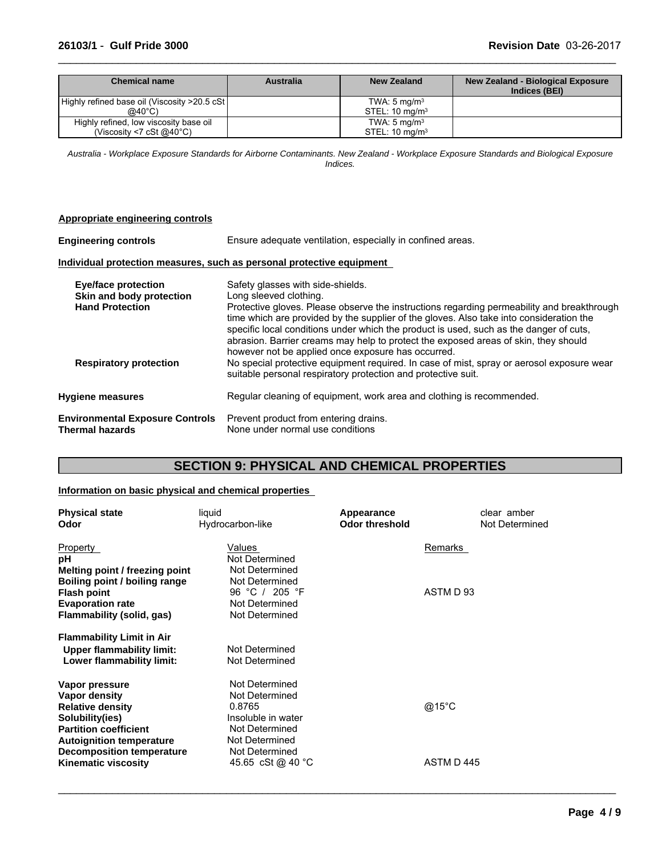### **26103/1** - **Gulf Pride 3000 Revision Date** 03-26-2017

| <b>Chemical name</b>                          | <b>Australia</b> | <b>New Zealand</b>           | New Zealand - Biological Exposure<br>Indices (BEI) |
|-----------------------------------------------|------------------|------------------------------|----------------------------------------------------|
| Highly refined base oil (Viscosity >20.5 cSt) |                  | TWA: $5 \text{ mg/m}^3$      |                                                    |
| @40°C)                                        |                  | $STEL: 10$ ma/m <sup>3</sup> |                                                    |
| Highly refined, low viscosity base oil        |                  | TWA: $5 \text{ mg/m}^3$      |                                                    |
| (Viscosity <7 cSt $@40^{\circ}$ C)            |                  | STEL: $10 \text{ mg/m}^3$    |                                                    |

 $\_$  ,  $\_$  ,  $\_$  ,  $\_$  ,  $\_$  ,  $\_$  ,  $\_$  ,  $\_$  ,  $\_$  ,  $\_$  ,  $\_$  ,  $\_$  ,  $\_$  ,  $\_$  ,  $\_$  ,  $\_$  ,  $\_$  ,  $\_$  ,  $\_$  ,  $\_$  ,  $\_$  ,  $\_$  ,  $\_$  ,  $\_$  ,  $\_$  ,  $\_$  ,  $\_$  ,  $\_$  ,  $\_$  ,  $\_$  ,  $\_$  ,  $\_$  ,  $\_$  ,  $\_$  ,  $\_$  ,  $\_$  ,  $\_$  ,

*Australia - Workplace Exposure Standards for Airborne Contaminants. New Zealand - Workplace Exposure Standards and Biological Exposure Indices.*

#### **Appropriate engineering controls**

| <b>Engineering controls</b>                                                      | Ensure adequate ventilation, especially in confined areas.                                                                                                                                                                                                                                                                                                                                                                                                                                  |  |  |  |  |  |
|----------------------------------------------------------------------------------|---------------------------------------------------------------------------------------------------------------------------------------------------------------------------------------------------------------------------------------------------------------------------------------------------------------------------------------------------------------------------------------------------------------------------------------------------------------------------------------------|--|--|--|--|--|
| Individual protection measures, such as personal protective equipment            |                                                                                                                                                                                                                                                                                                                                                                                                                                                                                             |  |  |  |  |  |
| <b>Eye/face protection</b><br>Skin and body protection<br><b>Hand Protection</b> | Safety glasses with side-shields.<br>Long sleeved clothing.<br>Protective gloves. Please observe the instructions regarding permeability and breakthrough<br>time which are provided by the supplier of the gloves. Also take into consideration the<br>specific local conditions under which the product is used, such as the danger of cuts,<br>abrasion. Barrier creams may help to protect the exposed areas of skin, they should<br>however not be applied once exposure has occurred. |  |  |  |  |  |
| <b>Respiratory protection</b>                                                    | No special protective equipment required. In case of mist, spray or aerosol exposure wear<br>suitable personal respiratory protection and protective suit.                                                                                                                                                                                                                                                                                                                                  |  |  |  |  |  |
| <b>Hygiene measures</b>                                                          | Regular cleaning of equipment, work area and clothing is recommended.                                                                                                                                                                                                                                                                                                                                                                                                                       |  |  |  |  |  |
| <b>Environmental Exposure Controls</b><br><b>Thermal hazards</b>                 | Prevent product from entering drains.<br>None under normal use conditions                                                                                                                                                                                                                                                                                                                                                                                                                   |  |  |  |  |  |

# **SECTION 9: PHYSICAL AND CHEMICAL PROPERTIES**

# **Information on basic physical and chemical properties**

| <b>Physical state</b><br>Odor                                   | liquid<br>Hydrocarbon-like          | Appearance<br><b>Odor threshold</b> | clear amber<br>Not Determined |
|-----------------------------------------------------------------|-------------------------------------|-------------------------------------|-------------------------------|
| Property<br>рH                                                  | Values<br>Not Determined            | Remarks                             |                               |
| Melting point / freezing point<br>Boiling point / boiling range | Not Determined<br>Not Determined    |                                     |                               |
| <b>Flash point</b><br><b>Evaporation rate</b>                   | 96 °C / 205 °F<br>Not Determined    | ASTM D 93                           |                               |
| Flammability (solid, gas)                                       | Not Determined                      |                                     |                               |
| <b>Flammability Limit in Air</b>                                |                                     |                                     |                               |
| <b>Upper flammability limit:</b><br>Lower flammability limit:   | Not Determined<br>Not Determined    |                                     |                               |
| Vapor pressure<br>Vapor density                                 | Not Determined<br>Not Determined    |                                     |                               |
| <b>Relative density</b><br>Solubility(ies)                      | 0.8765<br>Insoluble in water        | @15°C                               |                               |
| <b>Partition coefficient</b><br><b>Autoignition temperature</b> | Not Determined<br>Not Determined    |                                     |                               |
| <b>Decomposition temperature</b><br><b>Kinematic viscosity</b>  | Not Determined<br>45.65 cSt @ 40 °C | ASTM D445                           |                               |

 $\_$  ,  $\_$  ,  $\_$  ,  $\_$  ,  $\_$  ,  $\_$  ,  $\_$  ,  $\_$  ,  $\_$  ,  $\_$  ,  $\_$  ,  $\_$  ,  $\_$  ,  $\_$  ,  $\_$  ,  $\_$  ,  $\_$  ,  $\_$  ,  $\_$  ,  $\_$  ,  $\_$  ,  $\_$  ,  $\_$  ,  $\_$  ,  $\_$  ,  $\_$  ,  $\_$  ,  $\_$  ,  $\_$  ,  $\_$  ,  $\_$  ,  $\_$  ,  $\_$  ,  $\_$  ,  $\_$  ,  $\_$  ,  $\_$  ,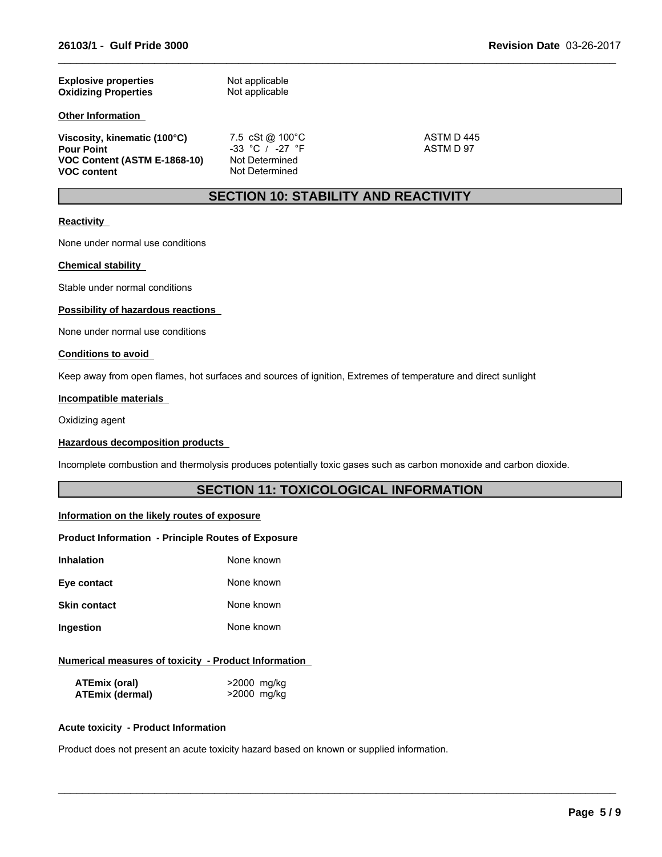| <b>Explosive properties</b><br><b>Oxidizing Properties</b> | Not applicable<br>Not applicable |           |  |
|------------------------------------------------------------|----------------------------------|-----------|--|
| <b>Other Information</b>                                   |                                  |           |  |
| Viscosity, kinematic (100°C)                               | 7.5 cSt @ $100^{\circ}$ C        | ASTM D445 |  |
| <b>Pour Point</b>                                          | $-33$ °C / $-27$ °F              | ASTM D 97 |  |
| VOC Content (ASTM E-1868-10)<br><b>VOC content</b>         | Not Determined<br>Not Determined |           |  |

 $\_$  ,  $\_$  ,  $\_$  ,  $\_$  ,  $\_$  ,  $\_$  ,  $\_$  ,  $\_$  ,  $\_$  ,  $\_$  ,  $\_$  ,  $\_$  ,  $\_$  ,  $\_$  ,  $\_$  ,  $\_$  ,  $\_$  ,  $\_$  ,  $\_$  ,  $\_$  ,  $\_$  ,  $\_$  ,  $\_$  ,  $\_$  ,  $\_$  ,  $\_$  ,  $\_$  ,  $\_$  ,  $\_$  ,  $\_$  ,  $\_$  ,  $\_$  ,  $\_$  ,  $\_$  ,  $\_$  ,  $\_$  ,  $\_$  ,

# **SECTION 10: STABILITY AND REACTIVITY**

#### **Reactivity**

None under normal use conditions

#### **Chemical stability**

Stable under normal conditions

### **Possibility of hazardous reactions**

None under normal use conditions

#### **Conditions to avoid**

Keep away from open flames, hot surfaces and sources of ignition, Extremes of temperature and direct sunlight

#### **Incompatible materials**

Oxidizing agent

#### **Hazardous decomposition products**

Incomplete combustion and thermolysis produces potentially toxic gases such as carbon monoxide and carbon dioxide.

# **SECTION 11: TOXICOLOGICAL INFORMATION**

 $\_$  ,  $\_$  ,  $\_$  ,  $\_$  ,  $\_$  ,  $\_$  ,  $\_$  ,  $\_$  ,  $\_$  ,  $\_$  ,  $\_$  ,  $\_$  ,  $\_$  ,  $\_$  ,  $\_$  ,  $\_$  ,  $\_$  ,  $\_$  ,  $\_$  ,  $\_$  ,  $\_$  ,  $\_$  ,  $\_$  ,  $\_$  ,  $\_$  ,  $\_$  ,  $\_$  ,  $\_$  ,  $\_$  ,  $\_$  ,  $\_$  ,  $\_$  ,  $\_$  ,  $\_$  ,  $\_$  ,  $\_$  ,  $\_$  ,

#### **Information on the likely routes of exposure**

#### **Product Information - Principle Routes of Exposure**

| Inhalation          | None known |
|---------------------|------------|
| Eye contact         | None known |
| <b>Skin contact</b> | None known |
| Ingestion           | None known |

#### **Numerical measures of toxicity - Product Information**

| <b>ATEmix (oral)</b>   | >2000 mg/kg |
|------------------------|-------------|
| <b>ATEmix (dermal)</b> | >2000 mg/kg |

#### **Acute toxicity - Product Information**

Product does not present an acute toxicity hazard based on known or supplied information.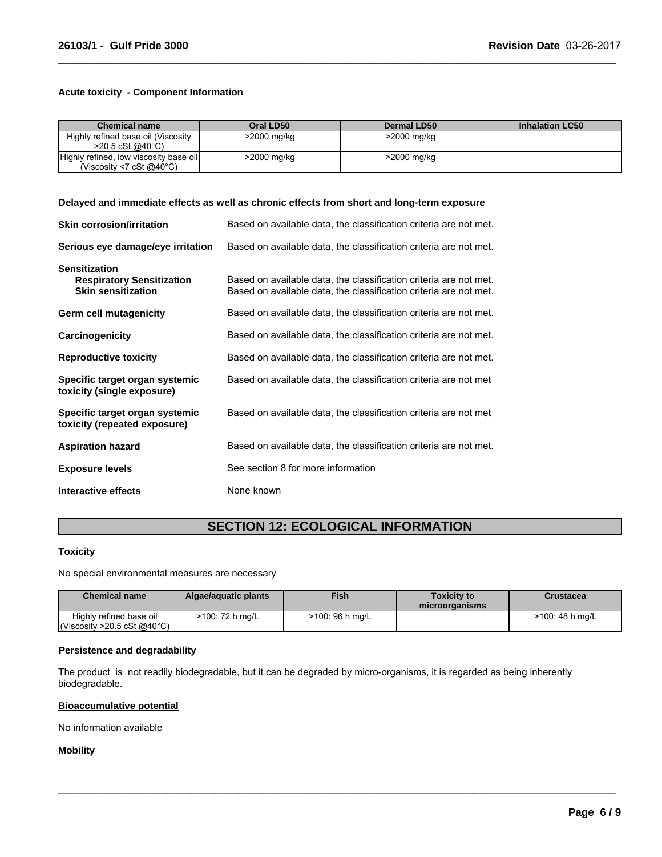#### **Acute toxicity - Component Information**

| <b>Chemical name</b>                                                         | Oral LD50   | Dermal LD50 | <b>Inhalation LC50</b> |
|------------------------------------------------------------------------------|-------------|-------------|------------------------|
| Highly refined base oil (Viscosity<br>$>20.5 \text{ cSt}$ @ 40 °C)           | >2000 mg/kg | >2000 mg/kg |                        |
| Highly refined, low viscosity base oil<br>(Viscosity <7 cSt $@40^{\circ}$ C) | >2000 mg/kg | >2000 mg/kg |                        |

 $\_$  ,  $\_$  ,  $\_$  ,  $\_$  ,  $\_$  ,  $\_$  ,  $\_$  ,  $\_$  ,  $\_$  ,  $\_$  ,  $\_$  ,  $\_$  ,  $\_$  ,  $\_$  ,  $\_$  ,  $\_$  ,  $\_$  ,  $\_$  ,  $\_$  ,  $\_$  ,  $\_$  ,  $\_$  ,  $\_$  ,  $\_$  ,  $\_$  ,  $\_$  ,  $\_$  ,  $\_$  ,  $\_$  ,  $\_$  ,  $\_$  ,  $\_$  ,  $\_$  ,  $\_$  ,  $\_$  ,  $\_$  ,  $\_$  ,

#### **Delayed and immediate effects as well as chronic effects from short and long-term exposure**

| <b>Skin corrosion/irritation</b>                                                      | Based on available data, the classification criteria are not met.                                                                      |
|---------------------------------------------------------------------------------------|----------------------------------------------------------------------------------------------------------------------------------------|
| Serious eye damage/eye irritation                                                     | Based on available data, the classification criteria are not met.                                                                      |
| <b>Sensitization</b><br><b>Respiratory Sensitization</b><br><b>Skin sensitization</b> | Based on available data, the classification criteria are not met.<br>Based on available data, the classification criteria are not met. |
| Germ cell mutagenicity                                                                | Based on available data, the classification criteria are not met.                                                                      |
| Carcinogenicity                                                                       | Based on available data, the classification criteria are not met.                                                                      |
| <b>Reproductive toxicity</b>                                                          | Based on available data, the classification criteria are not met.                                                                      |
| Specific target organ systemic<br>toxicity (single exposure)                          | Based on available data, the classification criteria are not met                                                                       |
| Specific target organ systemic<br>toxicity (repeated exposure)                        | Based on available data, the classification criteria are not met                                                                       |
| <b>Aspiration hazard</b>                                                              | Based on available data, the classification criteria are not met.                                                                      |
| <b>Exposure levels</b>                                                                | See section 8 for more information                                                                                                     |
| Interactive effects                                                                   | None known                                                                                                                             |

# **SECTION 12: ECOLOGICAL INFORMATION**

#### **Toxicity**

No special environmental measures are necessary

| <b>Chemical name</b>                                            | Algae/aguatic plants | <b>Fish</b>     | <b>Toxicity to</b><br>microorganisms | Crustacea       |
|-----------------------------------------------------------------|----------------------|-----------------|--------------------------------------|-----------------|
| Highly refined base oil<br>$\left $ (Viscosity >20.5 cSt @40°C) | >100: 72 h mg/L      | >100: 96 h mg/L |                                      | >100: 48 h mg/L |

 $\_$  ,  $\_$  ,  $\_$  ,  $\_$  ,  $\_$  ,  $\_$  ,  $\_$  ,  $\_$  ,  $\_$  ,  $\_$  ,  $\_$  ,  $\_$  ,  $\_$  ,  $\_$  ,  $\_$  ,  $\_$  ,  $\_$  ,  $\_$  ,  $\_$  ,  $\_$  ,  $\_$  ,  $\_$  ,  $\_$  ,  $\_$  ,  $\_$  ,  $\_$  ,  $\_$  ,  $\_$  ,  $\_$  ,  $\_$  ,  $\_$  ,  $\_$  ,  $\_$  ,  $\_$  ,  $\_$  ,  $\_$  ,  $\_$  ,

### **Persistence and degradability**

The product is not readily biodegradable, but it can be degraded by micro-organisms, it is regarded as being inherently biodegradable.

### **Bioaccumulative potential**

No information available

#### **Mobility**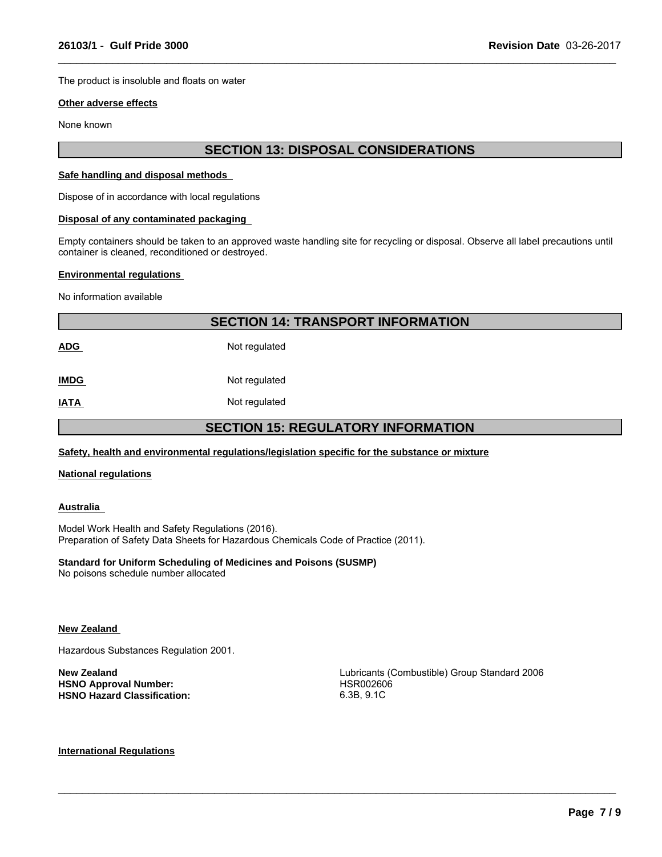The product is insoluble and floats on water

#### **Other adverse effects**

None known

# **SECTION 13: DISPOSAL CONSIDERATIONS**

 $\_$  ,  $\_$  ,  $\_$  ,  $\_$  ,  $\_$  ,  $\_$  ,  $\_$  ,  $\_$  ,  $\_$  ,  $\_$  ,  $\_$  ,  $\_$  ,  $\_$  ,  $\_$  ,  $\_$  ,  $\_$  ,  $\_$  ,  $\_$  ,  $\_$  ,  $\_$  ,  $\_$  ,  $\_$  ,  $\_$  ,  $\_$  ,  $\_$  ,  $\_$  ,  $\_$  ,  $\_$  ,  $\_$  ,  $\_$  ,  $\_$  ,  $\_$  ,  $\_$  ,  $\_$  ,  $\_$  ,  $\_$  ,  $\_$  ,

#### **Safe handling and disposal methods**

Dispose of in accordance with local regulations

#### **Disposal of any contaminated packaging**

Empty containers should be taken to an approved waste handling site for recycling or disposal. Observe all label precautions until container is cleaned, reconditioned or destroyed.

#### **Environmental regulations**

No information available

|                                           | <b>SECTION 14: TRANSPORT INFORMATION</b> |  |  |
|-------------------------------------------|------------------------------------------|--|--|
| <b>ADG</b>                                | Not regulated                            |  |  |
| <b>IMDG</b>                               | Not regulated                            |  |  |
| <b>IATA</b>                               | Not regulated                            |  |  |
| <b>SECTION 15: REGULATORY INFORMATION</b> |                                          |  |  |

#### **Safety, health and environmental regulations/legislation specific for the substance or mixture**

#### **National regulations**

#### **Australia**

Model Work Health and Safety Regulations (2016). Preparation of Safety Data Sheets for Hazardous Chemicals Code of Practice (2011).

### **Standard for Uniform Scheduling of Medicines and Poisons (SUSMP)**

No poisons schedule number allocated

#### **New Zealand**

Hazardous Substances Regulation 2001.

**HSNO Approval Number:** HSR002606 **HSNO Hazard Classification:** 

**New Zealand**<br> **New Zealand**<br> **HSNO Approval Number: HSNO Approval Number: HSNO Approval Number: HSRO02606** 

 $\_$  ,  $\_$  ,  $\_$  ,  $\_$  ,  $\_$  ,  $\_$  ,  $\_$  ,  $\_$  ,  $\_$  ,  $\_$  ,  $\_$  ,  $\_$  ,  $\_$  ,  $\_$  ,  $\_$  ,  $\_$  ,  $\_$  ,  $\_$  ,  $\_$  ,  $\_$  ,  $\_$  ,  $\_$  ,  $\_$  ,  $\_$  ,  $\_$  ,  $\_$  ,  $\_$  ,  $\_$  ,  $\_$  ,  $\_$  ,  $\_$  ,  $\_$  ,  $\_$  ,  $\_$  ,  $\_$  ,  $\_$  ,  $\_$  ,

#### **International Regulations**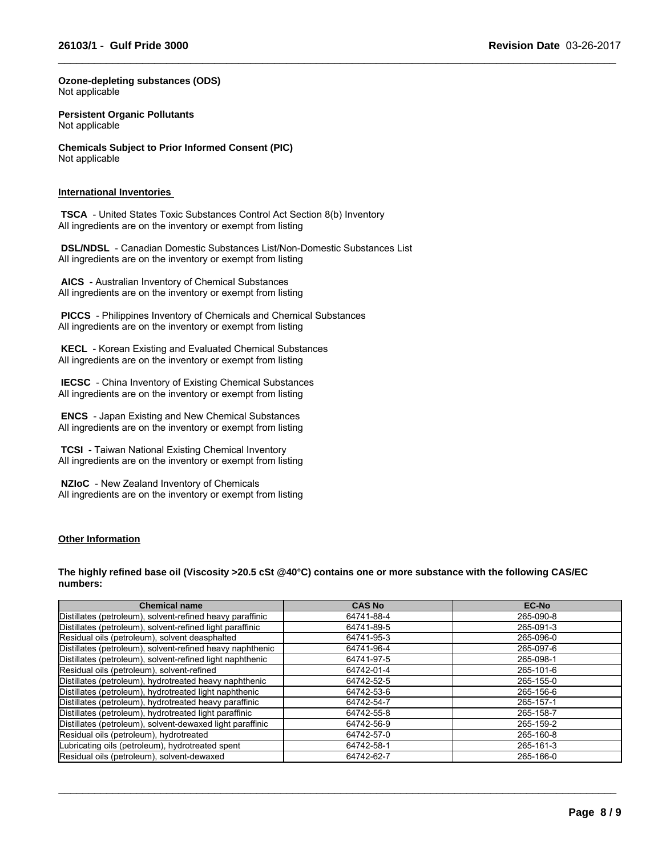$\_$  ,  $\_$  ,  $\_$  ,  $\_$  ,  $\_$  ,  $\_$  ,  $\_$  ,  $\_$  ,  $\_$  ,  $\_$  ,  $\_$  ,  $\_$  ,  $\_$  ,  $\_$  ,  $\_$  ,  $\_$  ,  $\_$  ,  $\_$  ,  $\_$  ,  $\_$  ,  $\_$  ,  $\_$  ,  $\_$  ,  $\_$  ,  $\_$  ,  $\_$  ,  $\_$  ,  $\_$  ,  $\_$  ,  $\_$  ,  $\_$  ,  $\_$  ,  $\_$  ,  $\_$  ,  $\_$  ,  $\_$  ,  $\_$  ,

**Ozone-depleting substances (ODS)** Not applicable

**Persistent Organic Pollutants** Not applicable

**Chemicals Subject to Prior Informed Consent (PIC)** Not applicable

#### **International Inventories**

 **TSCA** - United States Toxic Substances Control Act Section 8(b) Inventory All ingredients are on the inventory or exempt from listing

 **DSL/NDSL** - Canadian Domestic Substances List/Non-Domestic Substances List All ingredients are on the inventory or exempt from listing

 **AICS** - Australian Inventory of Chemical Substances All ingredients are on the inventory or exempt from listing

 **PICCS** - Philippines Inventory of Chemicals and Chemical Substances All ingredients are on the inventory or exempt from listing

 **KECL** - Korean Existing and Evaluated Chemical Substances All ingredients are on the inventory or exempt from listing

 **IECSC** - China Inventory of Existing Chemical Substances All ingredients are on the inventory or exempt from listing

 **ENCS** - Japan Existing and New Chemical Substances All ingredients are on the inventory or exempt from listing

 **TCSI** - Taiwan National Existing Chemical Inventory All ingredients are on the inventory or exempt from listing

 **NZIoC** - New Zealand Inventory of Chemicals All ingredients are on the inventory or exempt from listing

#### **Other Information**

#### **The highly refined base oil (Viscosity >20.5 cSt @40°C) contains one or more substance with the following CAS/EC numbers:**

| <b>Chemical name</b>                                      | <b>CAS No</b> | <b>EC-No</b> |
|-----------------------------------------------------------|---------------|--------------|
| Distillates (petroleum), solvent-refined heavy paraffinic | 64741-88-4    | 265-090-8    |
| Distillates (petroleum), solvent-refined light paraffinic | 64741-89-5    | 265-091-3    |
| Residual oils (petroleum), solvent deasphalted            | 64741-95-3    | 265-096-0    |
| Distillates (petroleum), solvent-refined heavy naphthenic | 64741-96-4    | 265-097-6    |
| Distillates (petroleum), solvent-refined light naphthenic | 64741-97-5    | 265-098-1    |
| Residual oils (petroleum), solvent-refined                | 64742-01-4    | 265-101-6    |
| Distillates (petroleum), hydrotreated heavy naphthenic    | 64742-52-5    | 265-155-0    |
| Distillates (petroleum), hydrotreated light naphthenic    | 64742-53-6    | 265-156-6    |
| Distillates (petroleum), hydrotreated heavy paraffinic    | 64742-54-7    | 265-157-1    |
| Distillates (petroleum), hydrotreated light paraffinic    | 64742-55-8    | 265-158-7    |
| Distillates (petroleum), solvent-dewaxed light paraffinic | 64742-56-9    | 265-159-2    |
| Residual oils (petroleum), hydrotreated                   | 64742-57-0    | 265-160-8    |
| Lubricating oils (petroleum), hydrotreated spent          | 64742-58-1    | 265-161-3    |
| Residual oils (petroleum), solvent-dewaxed                | 64742-62-7    | 265-166-0    |

 $\_$  ,  $\_$  ,  $\_$  ,  $\_$  ,  $\_$  ,  $\_$  ,  $\_$  ,  $\_$  ,  $\_$  ,  $\_$  ,  $\_$  ,  $\_$  ,  $\_$  ,  $\_$  ,  $\_$  ,  $\_$  ,  $\_$  ,  $\_$  ,  $\_$  ,  $\_$  ,  $\_$  ,  $\_$  ,  $\_$  ,  $\_$  ,  $\_$  ,  $\_$  ,  $\_$  ,  $\_$  ,  $\_$  ,  $\_$  ,  $\_$  ,  $\_$  ,  $\_$  ,  $\_$  ,  $\_$  ,  $\_$  ,  $\_$  ,